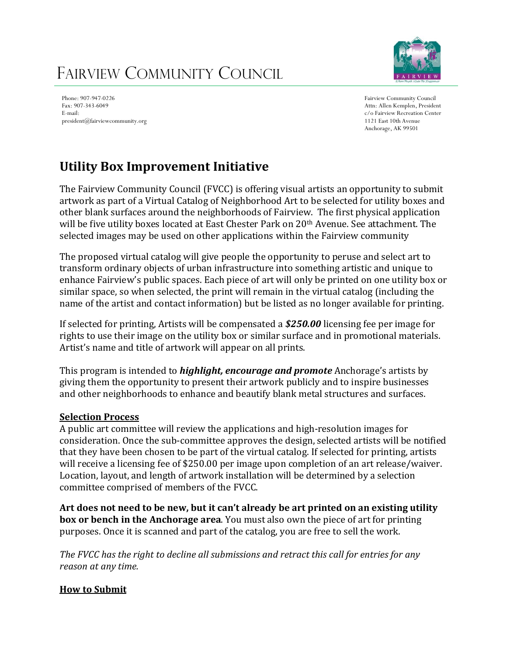# FAIRVIEW COMMUNITY COUNCIL



Phone: 907-947-0226 Fax: 907-343-6049 E-mail: president@fairviewcommunity.org

Fairview Community Council Attn: Allen Kemplen, President c/o Fairview Recreation Center 1121 East 10th Avenue Anchorage, AK 99501

### **Utility Box Improvement Initiative**

The Fairview Community Council (FVCC) is offering visual artists an opportunity to submit artwork as part of a Virtual Catalog of Neighborhood Art to be selected for utility boxes and other blank surfaces around the neighborhoods of Fairview. The first physical application will be five utility boxes located at East Chester Park on 20<sup>th</sup> Avenue. See attachment. The selected images may be used on other applications within the Fairview community

The proposed virtual catalog will give people the opportunity to peruse and select art to transform ordinary objects of urban infrastructure into something artistic and unique to enhance Fairview's public spaces. Each piece of art will only be printed on one utility box or similar space, so when selected, the print will remain in the virtual catalog (including the name of the artist and contact information) but be listed as no longer available for printing.

If selected for printing, Artists will be compensated a *\$250.00* licensing fee per image for rights to use their image on the utility box or similar surface and in promotional materials. Artist's name and title of artwork will appear on all prints.

This program is intended to *highlight, encourage and promote* Anchorage's artists by giving them the opportunity to present their artwork publicly and to inspire businesses and other neighborhoods to enhance and beautify blank metal structures and surfaces.

#### **Selection Process**

A public art committee will review the applications and high-resolution images for consideration. Once the sub-committee approves the design, selected artists will be notified that they have been chosen to be part of the virtual catalog. If selected for printing, artists will receive a licensing fee of \$250.00 per image upon completion of an art release/waiver. Location, layout, and length of artwork installation will be determined by a selection committee comprised of members of the FVCC.

**Art does not need to be new, but it can't already be art printed on an existing utility box or bench in the Anchorage area**. You must also own the piece of art for printing purposes. Once it is scanned and part of the catalog, you are free to sell the work.

*The FVCC has the right to decline all submissions and retract this call for entries for any reason at any time.*

#### **How to Submit**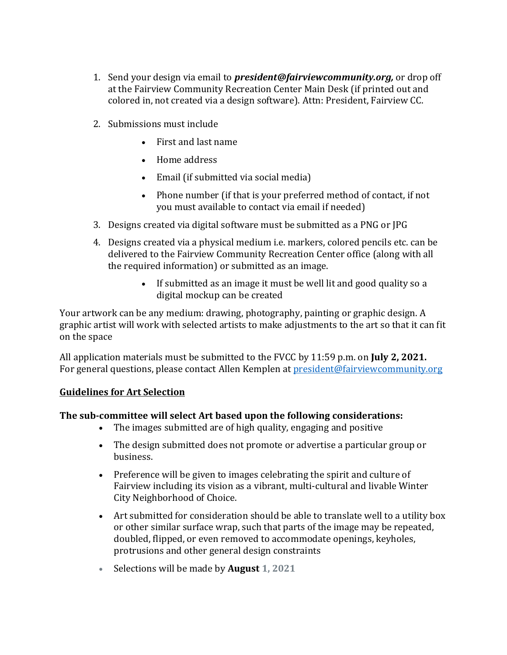- 1. Send your design via email to *president@fairviewcommunity.org,* or drop off at the Fairview Community Recreation Center Main Desk (if printed out and colored in, not created via a design software). Attn: President, Fairview CC.
- 2. Submissions must include
	- First and last name
	- Home address
	- Email (if submitted via social media)
	- Phone number (if that is your preferred method of contact, if not you must available to contact via email if needed)
- 3. Designs created via digital software must be submitted as a PNG or JPG
- 4. Designs created via a physical medium i.e. markers, colored pencils etc. can be delivered to the Fairview Community Recreation Center office (along with all the required information) or submitted as an image.
	- If submitted as an image it must be well lit and good quality so a digital mockup can be created

Your artwork can be any medium: drawing, photography, painting or graphic design. A graphic artist will work with selected artists to make adjustments to the art so that it can fit on the space

All application materials must be submitted to the FVCC by 11:59 p.m. on **July 2, 2021.** For general questions, please contact Allen Kemplen at [president@fairviewcommunity.org](mailto:president@fairviewcommunity.org)

#### **Guidelines for Art Selection**

#### **The sub-committee will select Art based upon the following considerations:**

- The images submitted are of high quality, engaging and positive
- The design submitted does not promote or advertise a particular group or business.
- Preference will be given to images celebrating the spirit and culture of Fairview including its vision as a vibrant, multi-cultural and livable Winter City Neighborhood of Choice.
- Art submitted for consideration should be able to translate well to a utility box or other similar surface wrap, such that parts of the image may be repeated, doubled, flipped, or even removed to accommodate openings, keyholes, protrusions and other general design constraints
- Selections will be made by **August 1, 2021**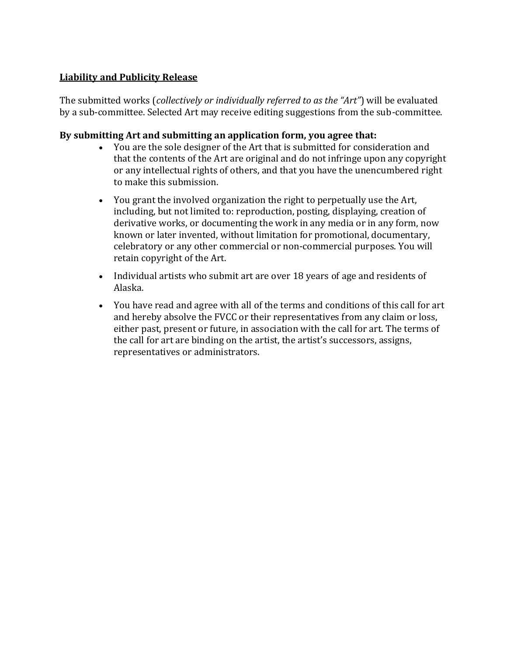#### **Liability and Publicity Release**

The submitted works (*collectively or individually referred to as the "Art"*) will be evaluated by a sub-committee. Selected Art may receive editing suggestions from the sub-committee.

#### **By submitting Art and submitting an application form, you agree that:**

- You are the sole designer of the Art that is submitted for consideration and that the contents of the Art are original and do not infringe upon any copyright or any intellectual rights of others, and that you have the unencumbered right to make this submission.
- You grant the involved organization the right to perpetually use the Art, including, but not limited to: reproduction, posting, displaying, creation of derivative works, or documenting the work in any media or in any form, now known or later invented, without limitation for promotional, documentary, celebratory or any other commercial or non-commercial purposes. You will retain copyright of the Art.
- Individual artists who submit art are over 18 years of age and residents of Alaska.
- You have read and agree with all of the terms and conditions of this call for art and hereby absolve the FVCC or their representatives from any claim or loss, either past, present or future, in association with the call for art. The terms of the call for art are binding on the artist, the artist's successors, assigns, representatives or administrators.